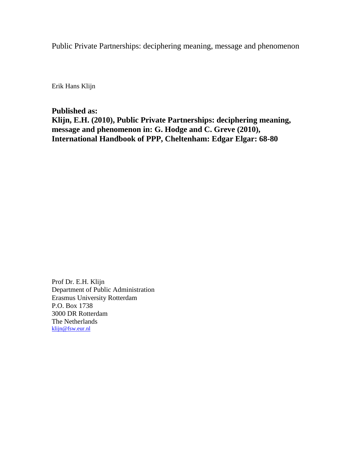Public Private Partnerships: deciphering meaning, message and phenomenon

Erik Hans Klijn

**Published as:**

**Klijn, E.H. (2010), Public Private Partnerships: deciphering meaning, message and phenomenon in: G. Hodge and C. Greve (2010), International Handbook of PPP, Cheltenham: Edgar Elgar: 68-80**

Prof Dr. E.H. Klijn Department of Public Administration Erasmus University Rotterdam P.O. Box 1738 3000 DR Rotterdam The Netherlands [klijn@fsw.eur.nl](mailto:klijn@fsw.eur.nl)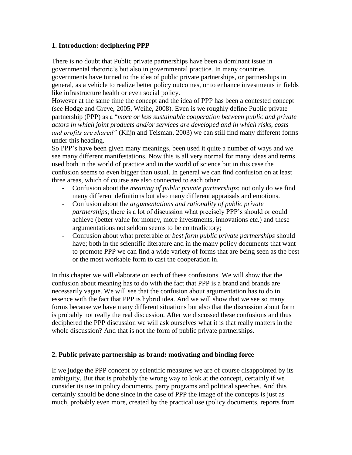#### **1. Introduction: deciphering PPP**

There is no doubt that Public private partnerships have been a dominant issue in governmental rhetoric's but also in governmental practice. In many countries governments have turned to the idea of public private partnerships, or partnerships in general, as a vehicle to realize better policy outcomes, or to enhance investments in fields like infrastructure health or even social policy.

However at the same time the concept and the idea of PPP has been a contested concept (see Hodge and Greve, 2005, Weihe, 2008). Even is we roughly define Public private partnership (PPP) as a "*more or less sustainable cooperation between public and private actors in which joint products and/or services are developed and in which risks, costs and profits are shared"* (Klijn and Teisman, 2003) we can still find many different forms under this heading.

So PPP's have been given many meanings, been used it quite a number of ways and we see many different manifestations. Now this is all very normal for many ideas and terms used both in the world of practice and in the world of science but in this case the confusion seems to even bigger than usual. In general we can find confusion on at least three areas, which of course are also connected to each other:

- Confusion about the *meaning of public private partnerships*; not only do we find many different definitions but also many different appraisals and emotions.
- Confusion about the *argumentations and rationality of public private partnerships*; there is a lot of discussion what precisely PPP's should or could achieve (better value for money, more investments, innovations etc.) and these argumentations not seldom seems to be contradictory;
- Confusion about what preferable or *best form public private partnerships* should have; both in the scientific literature and in the many policy documents that want to promote PPP we can find a wide variety of forms that are being seen as the best or the most workable form to cast the cooperation in.

In this chapter we will elaborate on each of these confusions. We will show that the confusion about meaning has to do with the fact that PPP is a brand and brands are necessarily vague. We will see that the confusion about argumentation has to do in essence with the fact that PPP is hybrid idea. And we will show that we see so many forms because we have many different situations but also that the discussion about form is probably not really the real discussion. After we discussed these confusions and thus deciphered the PPP discussion we will ask ourselves what it is that really matters in the whole discussion? And that is not the form of public private partnerships.

# **2. Public private partnership as brand: motivating and binding force**

If we judge the PPP concept by scientific measures we are of course disappointed by its ambiguity. But that is probably the wrong way to look at the concept, certainly if we consider its use in policy documents, party programs and political speeches. And this certainly should be done since in the case of PPP the image of the concepts is just as much, probably even more, created by the practical use (policy documents, reports from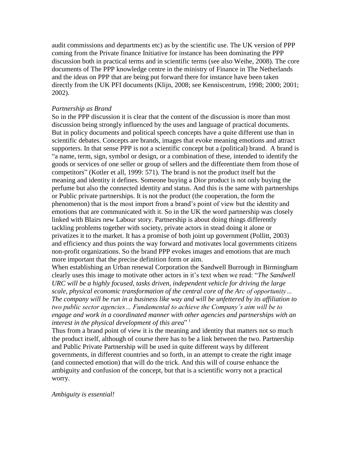audit commissions and departments etc) as by the scientific use. The UK version of PPP coming from the Private finance Initiative for instance has been dominating the PPP discussion both in practical terms and in scientific terms (see also Weihe, 2008). The core documents of The PPP knowledge centre in the ministry of Finance in The Netherlands and the ideas on PPP that are being put forward there for instance have been taken directly from the UK PFI documents (Klijn, 2008; see Kenniscentrum, 1998; 2000; 2001; 2002).

#### *Partnership as Brand*

So in the PPP discussion it is clear that the content of the discussion is more than most discussion being strongly influenced by the uses and language of practical documents. But in policy documents and political speech concepts have a quite different use than in scientific debates. Concepts are brands, images that evoke meaning emotions and attract supporters. In that sense PPP is not a scientific concept but a (political) brand. A brand is "a name, term, sign, symbol or design, or a combination of these, intended to identify the goods or services of one seller or group of sellers and the differentiate them from those of competitors" (Kotler et all, 1999: 571). The brand is not the product itself but the meaning and identity it defines. Someone buying a Dior product is not only buying the perfume but also the connected identity and status. And this is the same with partnerships or Public private partnerships. It is not the product (the cooperation, the form the phenomenon) that is the most import from a brand's point of view but the identity and emotions that are communicated with it. So in the UK the word partnership was closely linked with Blairs new Labour story. Partnership is about doing things differently tackling problems together with society, private actors in stead doing it alone or privatizes it to the market. It has a promise of both joint up government (Pollitt, 2003) and efficiency and thus points the way forward and motivates local governments citizens non-profit organizations. So the brand PPP evokes images and emotions that are much more important that the precise definition form or aim.

When establishing an Urban renewal Corporation the Sandwell Burrough in Birmingham clearly uses this image to motivate other actors in it's text when we read: "*The Sandwell URC will be a highly focused, tasks driven, independent vehicle for driving the large scale, physical economic transformation of the central core of the Arc of opportunity… The company will be run in a business like way and will be unfettered by its affiliation to two public sector agencies… Fundamental to achieve the Company's aim will be to engage and work in a coordinated manner with other agencies and partnerships with an interest in the physical development of this area*" <sup>i</sup>

Thus from a brand point of view it is the meaning and identity that matters not so much the product itself, although of course there has to be a link between the two. Partnership and Public Private Partnership will be used in quite different ways by different governments, in different countries and so forth, in an attempt to create the right image (and connected emotion) that will do the trick. And this will of course enhance the ambiguity and confusion of the concept, but that is a scientific worry not a practical worry.

*Ambiguity is essential!*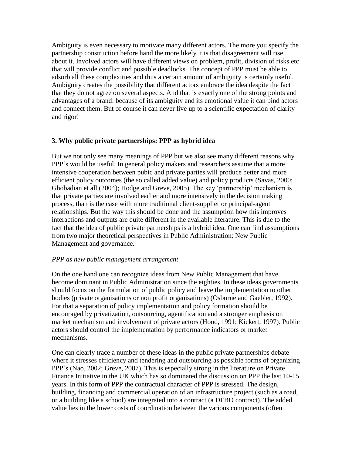Ambiguity is even necessary to motivate many different actors. The more you specify the partnership construction before hand the more likely it is that disagreement will rise about it. Involved actors will have different views on problem, profit, division of risks etc that will provide conflict and possible deadlocks. The concept of PPP must be able to adsorb all these complexities and thus a certain amount of ambiguity is certainly useful. Ambiguity creates the possibility that different actors embrace the idea despite the fact that they do not agree on several aspects. And that is exactly one of the strong points and advantages of a brand: because of its ambiguity and its emotional value it can bind actors and connect them. But of course it can never live up to a scientific expectation of clarity and rigor!

# **3. Why public private partnerships: PPP as hybrid idea**

But we not only see many meanings of PPP but we also see many different reasons why PPP's would be useful. In general policy makers and researchers assume that a more intensive cooperation between pubic and private parties will produce better and more efficient policy outcomes (the so called added value) and policy products (Savas, 2000; Ghobadian et all (2004); Hodge and Greve, 2005). The key 'partnership' mechanism is that private parties are involved earlier and more intensively in the decision making process, than is the case with more traditional client-supplier or principal-agent relationships. But the way this should be done and the assumption how this improves interactions and outputs are quite different in the available literature. This is due to the fact that the idea of public private partnerships is a hybrid idea. One can find assumptions from two major theoretical perspectives in Public Administration: New Public Management and governance.

#### *PPP as new public management arrangement*

On the one hand one can recognize ideas from New Public Management that have become dominant in Public Administration since the eighties. In these ideas governments should focus on the formulation of public policy and leave the implementation to other bodies (private organisations or non profit organisations) (Osborne and Gaebler, 1992). For that a separation of policy implementation and policy formation should be encouraged by privatization, outsourcing, agentification and a stronger emphasis on market mechanism and involvement of private actors (Hood, 1991; Kickert, 1997). Public actors should control the implementation by performance indicators or market mechanisms.

One can clearly trace a number of these ideas in the public private partnerships debate where it stresses efficiency and tendering and outsourcing as possible forms of organizing PPP's (Nao, 2002; Greve, 2007). This is especially strong in the literature on Private Finance Initiative in the UK which has so dominated the discussion on PPP the last 10-15 years. In this form of PPP the contractual character of PPP is stressed. The design, building, financing and commercial operation of an infrastructure project (such as a road, or a building like a school) are integrated into a contract (a DFBO contract). The added value lies in the lower costs of coordination between the various components (often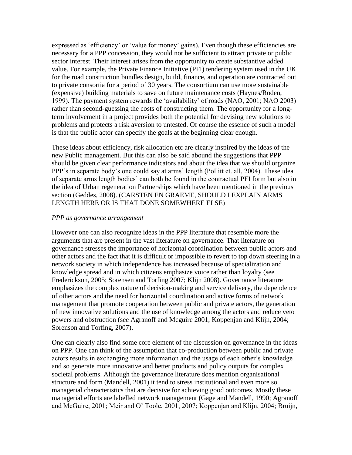expressed as 'efficiency' or 'value for money' gains). Even though these efficiencies are necessary for a PPP concession, they would not be sufficient to attract private or public sector interest. Their interest arises from the opportunity to create substantive added value. For example, the Private Finance Initiative (PFI) tendering system used in the UK for the road construction bundles design, build, finance, and operation are contracted out to private consortia for a period of 30 years. The consortium can use more sustainable (expensive) building materials to save on future maintenance costs (Haynes/Roden, 1999). The payment system rewards the 'availability' of roads (NAO, 2001; NAO 2003) rather than second-guessing the costs of constructing them. The opportunity for a longterm involvement in a project provides both the potential for devising new solutions to problems and protects a risk aversion to untested. Of course the essence of such a model is that the public actor can specify the goals at the beginning clear enough.

These ideas about efficiency, risk allocation etc are clearly inspired by the ideas of the new Public management. But this can also be said abound the suggestions that PPP should be given clear performance indicators and about the idea that we should organize PPP's in separate body's one could say at arms' length (Pollitt et. all, 2004). These idea of separate arms length bodies' can both be found in the contractual PFI form but also in the idea of Urban regeneration Partnerships which have been mentioned in the previous section (Geddes, 2008). (CARSTEN EN GRAEME, SHOULD I EXPLAIN ARMS LENGTH HERE OR IS THAT DONE SOMEWHERE ELSE)

#### *PPP as governance arrangement*

However one can also recognize ideas in the PPP literature that resemble more the arguments that are present in the vast literature on governance. That literature on governance stresses the importance of horizontal coordination between public actors and other actors and the fact that it is difficult or impossible to revert to top down steering in a network society in which independence has increased because of specialization and knowledge spread and in which citizens emphasize voice rather than loyalty (see Frederickson, 2005; Sorensen and Torfing 2007; Klijn 2008). Governance literature emphasizes the complex nature of decision-making and service delivery, the dependence of other actors and the need for horizontal coordination and active forms of network management that promote cooperation between public and private actors, the generation of new innovative solutions and the use of knowledge among the actors and reduce veto powers and obstruction (see Agranoff and Mcguire 2001; Koppenjan and Klijn, 2004; Sorenson and Torfing, 2007).

One can clearly also find some core element of the discussion on governance in the ideas on PPP. One can think of the assumption that co-production between public and private actors results in exchanging more information and the usage of each other's knowledge and so generate more innovative and better products and policy outputs for complex societal problems. Although the governance literature does mention organisational structure and form (Mandell, 2001) it tend to stress institutional and even more so managerial characteristics that are decisive for achieving good outcomes. Mostly these managerial efforts are labelled network management (Gage and Mandell, 1990; Agranoff and McGuire, 2001; Meir and O' Toole, 2001, 2007; Koppenjan and Klijn, 2004; Bruijn,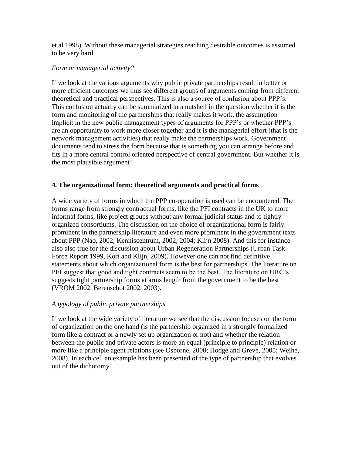et al 1998). Without these managerial strategies reaching desirable outcomes is assumed to be very hard.

#### *Form or managerial activity?*

If we look at the various arguments why public private partnerships result in better or more efficient outcomes we thus see different groups of arguments coming from different theoretical and practical perspectives. This is also a source of confusion about PPP's. This confusion actually can be summarized in a nutshell in the question whether it is the form and monitoring of the partnerships that really makes it work, the assumption implicit in the new public management types of arguments for PPP's or whether PPP's are an opportunity to work more closer together and it is the managerial effort (that is the network management activities) that really make the partnerships work. Government documents tend to stress the form because that is something you can arrange before and fits in a more central control oriented perspective of central government. But whether it is the most plausible argument?

#### **4. The organizational form: theoretical arguments and practical forms**

A wide variety of forms in which the PPP co-operation is used can be encountered. The forms range from strongly contractual forms, like the PFI contracts in the UK to more informal forms, like project groups without any formal judicial status and to tightly organized consortiums. The discussion on the choice of organizational form is fairly prominent in the partnership literature and even more prominent in the government texts about PPP (Nao, 2002; Kenniscentrum, 2002; 2004; Klijn 2008). And this for instance also also true for the discussion about Urban Regeneration Partnerships (Urban Task Force Report 1999, Kort and Klijn, 2009). However one can not find definitive statements about which organizational form is the best for partnerships. The literature on PFI suggest that good and tight contracts seem to be the best. The literature on URC's suggests tight partnership forms at arms length from the government to be the best (VROM 2002, Berenschot 2002, 2003).

# *A typology of public private partnerships*

If we look at the wide variety of literature we see that the discussion focuses on the form of organization on the one hand (is the partnership organized in a strongly formalized form like a contract or a newly set up organization or not) and whether the relation between the public and private actors is more an equal (principle to principle) relation or more like a principle agent relations (see Osborne, 2000; Hodge and Greve, 2005; Weihe, 2008). In each cell an example has been presented of the type of partnership that evolves out of the dichotomy.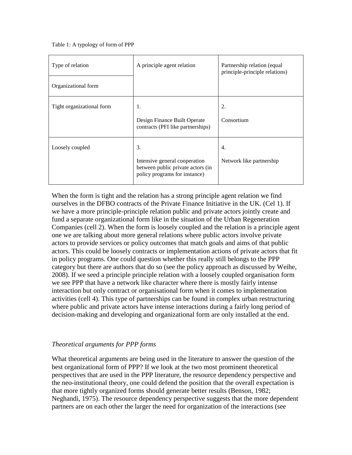Table 1: A typology of form of PPP

| Type of relation          | A principle agent relation                                                                                | Partnership relation (equal<br>principle-principle relations) |
|---------------------------|-----------------------------------------------------------------------------------------------------------|---------------------------------------------------------------|
| Organizational form       |                                                                                                           |                                                               |
| Tight organizational form | 1.<br>Design Finance Built Operate<br>contracts (PFI like partnerships)                                   | 2.<br>Consortium                                              |
| Loosely coupled           | 3.<br>Intensive general cooperation<br>between public private actors (in<br>policy programs for instance) | 4.<br>Network like partnership                                |

When the form is tight and the relation has a strong principle agent relation we find ourselves in the DFBO contracts of the Private Finance Initiative in the UK. (Cel 1). If we have a more principle-principle relation public and private actors jointly create and fund a separate organizational form like in the situation of the Urban Regeneration Companies (cell 2). When the form is loosely coupled and the relation is a principle agent one we are talking about more general relations where public actors involve private actors to provide services or policy outcomes that match goals and aims of that public actors. This could be loosely contracts or implementation actions of private actors that fit in policy programs. One could question whether this really still belongs to the PPP category but there are authors that do so (see the policy approach as discussed by Weihe, 2008). If we seed a principle principle relation with a loosely coupled organisation form we see PPP that have a network like character where there is mostly fairly intense interaction but only contract or organisational form when it comes to implementation activities (cell 4). This type of partnerships can be found in complex urban restructuring where public and private actors have intense interactions during a fairly long period of decision-making and developing and organizational form are only installed at the end.

# *Theoretical arguments for PPP forms*

What theoretical arguments are being used in the literature to answer the question of the best organizational form of PPP? If we look at the two most prominent theoretical perspectives that are used in the PPP literature, the resource dependency perspective and the neo-institutional theory, one could defend the position that the overall expectation is that more tightly organized forms should generate better results (Benson, 1982; Neghandi, 1975). The resource dependency perspective suggests that the more dependent partners are on each other the larger the need for organization of the interactions (see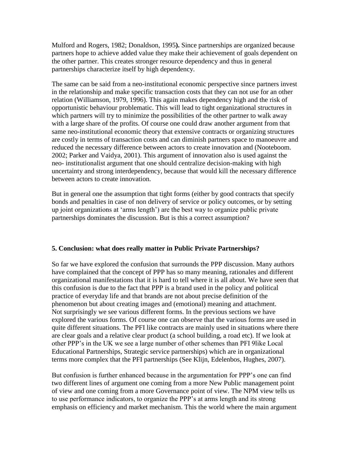Mulford and Rogers, 1982; Donaldson, 1995**).** Since partnerships are organized because partners hope to achieve added value they make their achievement of goals dependent on the other partner. This creates stronger resource dependency and thus in general partnerships characterize itself by high dependency.

The same can be said from a neo-institutional economic perspective since partners invest in the relationship and make specific transaction costs that they can not use for an other relation (Williamson, 1979, 1996). This again makes dependency high and the risk of opportunistic behaviour problematic. This will lead to tight organizational structures in which partners will try to minimize the possibilities of the other partner to walk away with a large share of the profits. Of course one could draw another argument from that same neo-institutional economic theory that extensive contracts or organizing structures are costly in terms of transaction costs and can diminish partners space to manoeuvre and reduced the necessary difference between actors to create innovation and (Nooteboom. 2002; Parker and Vaidya, 2001). This argument of innovation also is used against the neo- institutionalist argument that one should centralize decision-making with high uncertainty and strong interdependency, because that would kill the necessary difference between actors to create innovation.

But in general one the assumption that tight forms (either by good contracts that specify bonds and penalties in case of non delivery of service or policy outcomes, or by setting up joint organizations at 'arms length') are the best way to organize public private partnerships dominates the discussion. But is this a correct assumption?

# **5. Conclusion: what does really matter in Public Private Partnerships?**

So far we have explored the confusion that surrounds the PPP discussion. Many authors have complained that the concept of PPP has so many meaning, rationales and different organizational manifestations that it is hard to tell where it is all about. We have seen that this confusion is due to the fact that PPP is a brand used in the policy and political practice of everyday life and that brands are not about precise definition of the phenomenon but about creating images and (emotional) meaning and attachment. Not surprisingly we see various different forms. In the previous sections we have explored the various forms. Of course one can observe that the various forms are used in quite different situations. The PFI like contracts are mainly used in situations where there are clear goals and a relative clear product (a school building, a road etc). If we look at other PPP's in the UK we see a large number of other schemes than PFI 9like Local Educational Partnerships, Strategic service partnerships) which are in organizational terms more complex that the PFI partnerships (See Klijn, Edelenbos, Hughes, 2007).

But confusion is further enhanced because in the argumentation for PPP's one can find two different lines of argument one coming from a more New Public management point of view and one coming from a more Governance point of view. The NPM view tells us to use performance indicators, to organize the PPP's at arms length and its strong emphasis on efficiency and market mechanism. This the world where the main argument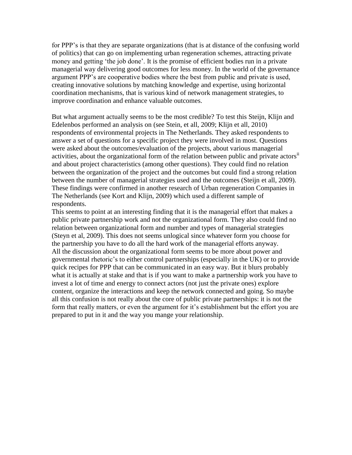for PPP's is that they are separate organizations (that is at distance of the confusing world of politics) that can go on implementing urban regeneration schemes, attracting private money and getting 'the job done'. It is the promise of efficient bodies run in a private managerial way delivering good outcomes for less money. In the world of the governance argument PPP's are cooperative bodies where the best from public and private is used, creating innovative solutions by matching knowledge and expertise, using horizontal coordination mechanisms, that is various kind of network management strategies, to improve coordination and enhance valuable outcomes.

But what argument actually seems to be the most credible? To test this Steijn, Klijn and Edelenbos performed an analysis on (see Stein, et all, 2009; Klijn et all, 2010) respondents of environmental projects in The Netherlands. They asked respondents to answer a set of questions for a specific project they were involved in most. Questions were asked about the outcomes/evaluation of the projects, about various managerial activities, about the organizational form of the relation between public and private actors<sup>ii</sup> and about project characteristics (among other questions). They could find no relation between the organization of the project and the outcomes but could find a strong relation between the number of managerial strategies used and the outcomes (Steijn et all, 2009). These findings were confirmed in another research of Urban regeneration Companies in The Netherlands (see Kort and Klijn, 2009) which used a different sample of respondents.

This seems to point at an interesting finding that it is the managerial effort that makes a public private partnership work and not the organizational form. They also could find no relation between organizational form and number and types of managerial strategies (Steyn et al, 2009). This does not seems unlogical since whatever form you choose for the partnership you have to do all the hard work of the managerial efforts anyway. All the discussion about the organizational form seems to be more about power and governmental rhetoric's to either control partnerships (especially in the UK) or to provide quick recipes for PPP that can be communicated in an easy way. But it blurs probably what it is actually at stake and that is if you want to make a partnership work you have to invest a lot of time and energy to connect actors (not just the private ones) explore content, organize the interactions and keep the network connected and going. So maybe all this confusion is not really about the core of public private partnerships: it is not the form that really matters, or even the argument for it's establishment but the effort you are prepared to put in it and the way you mange your relationship.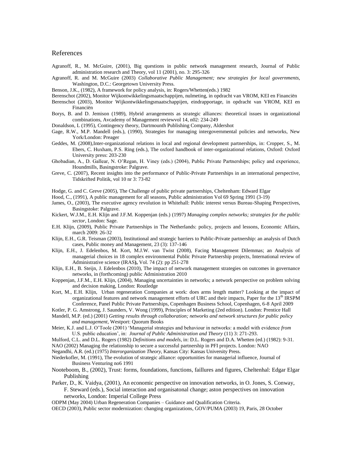#### References

- Agranoff, R., M. McGuire, (2001), Big questions in public network management research, Journal of Public administration research and Theory, vol 11 (2001), no. 3: 295-326
- Agranoff, R. and M. McGuire (2003) *Collaborative Public Management; new strategies for local governments*, Washington, D.C.: Georgetown University Press.
- Benson, J.K., (1982), A framework for policy analysis, in: Rogers/Whetten(eds.) 1982
- Berenschot (2002), Monitor Wijkontwikkelingsmaatschappijen, nulmeting, in opdracht van VROM, KEI en Financiën
- Berenschot (2003), Monitor Wijkontwikkelingsmaatschappijen, eindrapportage, in opdracht van VROM, KEI en Financiën
- Borys, B. and D. Jemison (1989), Hybrid arrangements as strategic alliances: theoretical issues in organizational combinations, Avcademy of Management reviewvol 14, n02: 234-249
- Donaldson, L (1995), Contingency theory, Dartmounth Publishing Company, Aldershot
- Gage, R.W., M.P. Mandell (eds.), (1990), Strategies for managing intergovernmental policies and networks, New York/London: Preager
- Geddes, M. (2008),Inter-organizational relations in local and regional development partnerships, in: Cropper, S., M. Ebers, C. Huxham, P.S. Ring (eds.), The oxford handbook of inter-organizational relations, Oxford: Oxford University press: 203-230
- Ghobadian, A., D. Gallear, N. O'Regan, H. Viney (eds.) (2004), Public Private Partnerships; policy and experience, Houndmills, Basingstroke: Palgrave.
- Greve, C. (2007), Recent insights into the performance of Public-Private Partnerships in an international perspective, Tidskrifted Politik, vol 10 nr 3: 73-82
- Hodge, G. and C. Greve (2005), The Challenge of public private partnerships, Cheltenham: Edward Elgar
- Hood, C., (1991), A public management for all seasons, Public administration Vol 69 Spring 1991 (3-19)
- James, O., (2003), The executive agency revolution in Whitehall: Public interest versus Bureau-Shaping Perspectives, Basingstoke: Palgrave.
- Kickert, W.J.M., E.H. Klijn and J.F.M. Koppenjan (eds.) (1997) *Managing complex networks; strategies for the public sector*, London: Sage.
- E.H. Klijn, (2009), Public Private Partnerships in The Netherlands: policy, projects and lessons, Economic Affairs, march 2009: 26-32
- Klijn, E.H., G.R. Teisman (2003), Institutional and strategic barriers to Public-Private partnership: an analysis of Dutch cases, Public money and Management, 23 (3): 137-146
- Klijn, E.H., J. Edelenbos, M. Kort, M.J.W. van Twist (2008), Facing Management Dilemmas; an Analysis of managerial choices in 18 complex environmental Public Private Partnership projects, International review of Administrative science (IRAS**),** Vol. 74 (2): pp 251-278
- Klijn, E.H., B. Steijn, J. Edelenbos (2010), The impact of network management strategies on outcomes in governance networks, in (forthcoming) public Administration 2010
- Koppenjan, J.F.M., E.H. Klijn, (2004), Managing uncertainties in networks; a network perspective on problem solving and decision making, London: Routledge
- Kort, M., E.H. Klijn, Urban regeneration Companies at work: does arms length matter? Looking at the impact of organizational features and network management efforts of URC and their impacts, Paper for the 13<sup>th</sup> IRSPM Conference, Panel Public Private Partnerships, Copenhagen Business School, Copenhagen, 6-8 April 2009

Kotler, P. G. Amstrong, J. Saunders, V. Wong (1999), Principles of Marketing (2ed edition). London: Prentice Hall Mandell, M.P. (ed.) (2001) *Getting results through collaboration; networks and network structures for public policy* 

- *and management*, Westport: Quorum Books
- Meier, K.J. and L.J. O'Toole (2001) 'Managerial strategies and behaviour in networks: a model with evidence *from* U.S. public education', in: *Journal of Public Administration and Theory* (11) 3: 271-293.
- Mulford, C.L. and D.L. Rogers (1982) *Definitions and models*, in: D.L. Rogers and D.A. Whetten (ed.) (1982): 9-31.
- NAO (2002) Managing the relationship to secure a successful partnership in PFI projects. London: NAO

Negandhi, A.R. (ed.) (1975) *Interorganization Theory*, Kansas City: Kansas University Press.

- Niederkofler, M. (1991), The evolution of strategic alliance: opportunities for managerial influence, Journal of Business Venturing no6 1991
- Nooteboom, B., (2002), Trust: forms, foundations, functions, faillures and figures, Cheltenhal: Edgar Elgar Publishing
- Parker, D., K. Vaidya, (2001), An economic perspective on innovation networks, in O. Jones, S. Conway, F. Steward (eds.), Social interaction and organisatonal change; aston perspectives on innovation networks, London: Imperial College Press

ODPM (May 2004) Urban Regeneration Companies – Guidance and Qualification Criteria.

OECD (2003), Public sector modernization: changing organizations, GOV/PUMA (2003) 19, Paris, 28 October